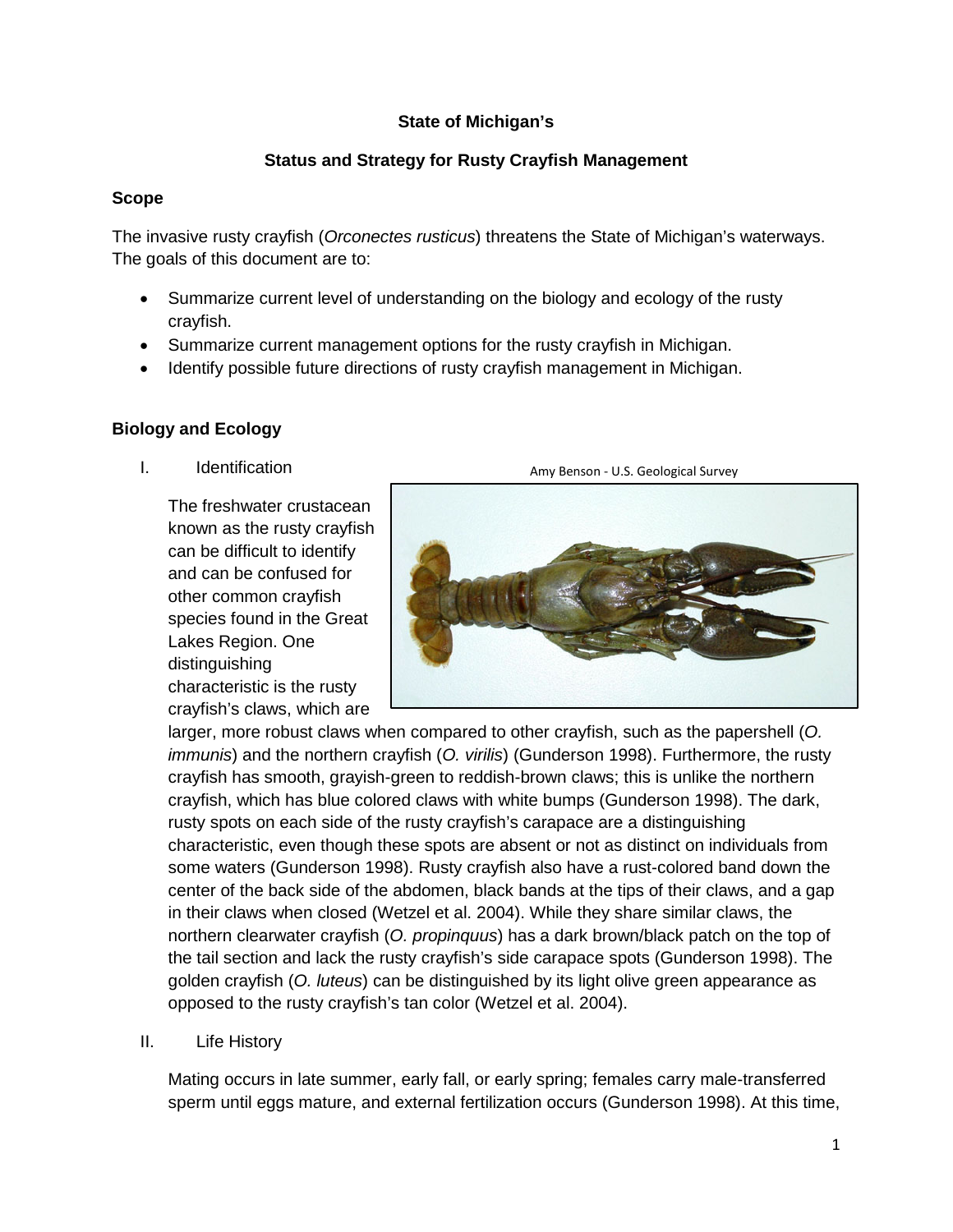## **State of Michigan's**

## **Status and Strategy for Rusty Crayfish Management**

### **Scope**

The invasive rusty crayfish (*Orconectes rusticus*) threatens the State of Michigan's waterways. The goals of this document are to:

- Summarize current level of understanding on the biology and ecology of the rusty crayfish.
- Summarize current management options for the rusty crayfish in Michigan.
- Identify possible future directions of rusty crayfish management in Michigan.

# **Biology and Ecology**

I. Identification

The freshwater crustacean known as the rusty crayfish can be difficult to identify and can be confused for other common crayfish species found in the Great Lakes Region. One distinguishing characteristic is the rusty crayfish's claws, which are



larger, more robust claws when compared to other crayfish, such as the papershell (*O. immunis*) and the northern crayfish (*O. virilis*) (Gunderson 1998). Furthermore, the rusty crayfish has smooth, grayish-green to reddish-brown claws; this is unlike the northern crayfish, which has blue colored claws with white bumps (Gunderson 1998). The dark, rusty spots on each side of the rusty crayfish's carapace are a distinguishing characteristic, even though these spots are absent or not as distinct on individuals from some waters (Gunderson 1998). Rusty crayfish also have a rust-colored band down the center of the back side of the abdomen, black bands at the tips of their claws, and a gap in their claws when closed (Wetzel et al. 2004). While they share similar claws, the northern clearwater crayfish (*O. propinquus*) has a dark brown/black patch on the top of the tail section and lack the rusty crayfish's side carapace spots (Gunderson 1998). The golden crayfish (*O. luteus*) can be distinguished by its light olive green appearance as opposed to the rusty crayfish's tan color (Wetzel et al. 2004).

II. Life History

Mating occurs in late summer, early fall, or early spring; females carry male-transferred sperm until eggs mature, and external fertilization occurs (Gunderson 1998). At this time,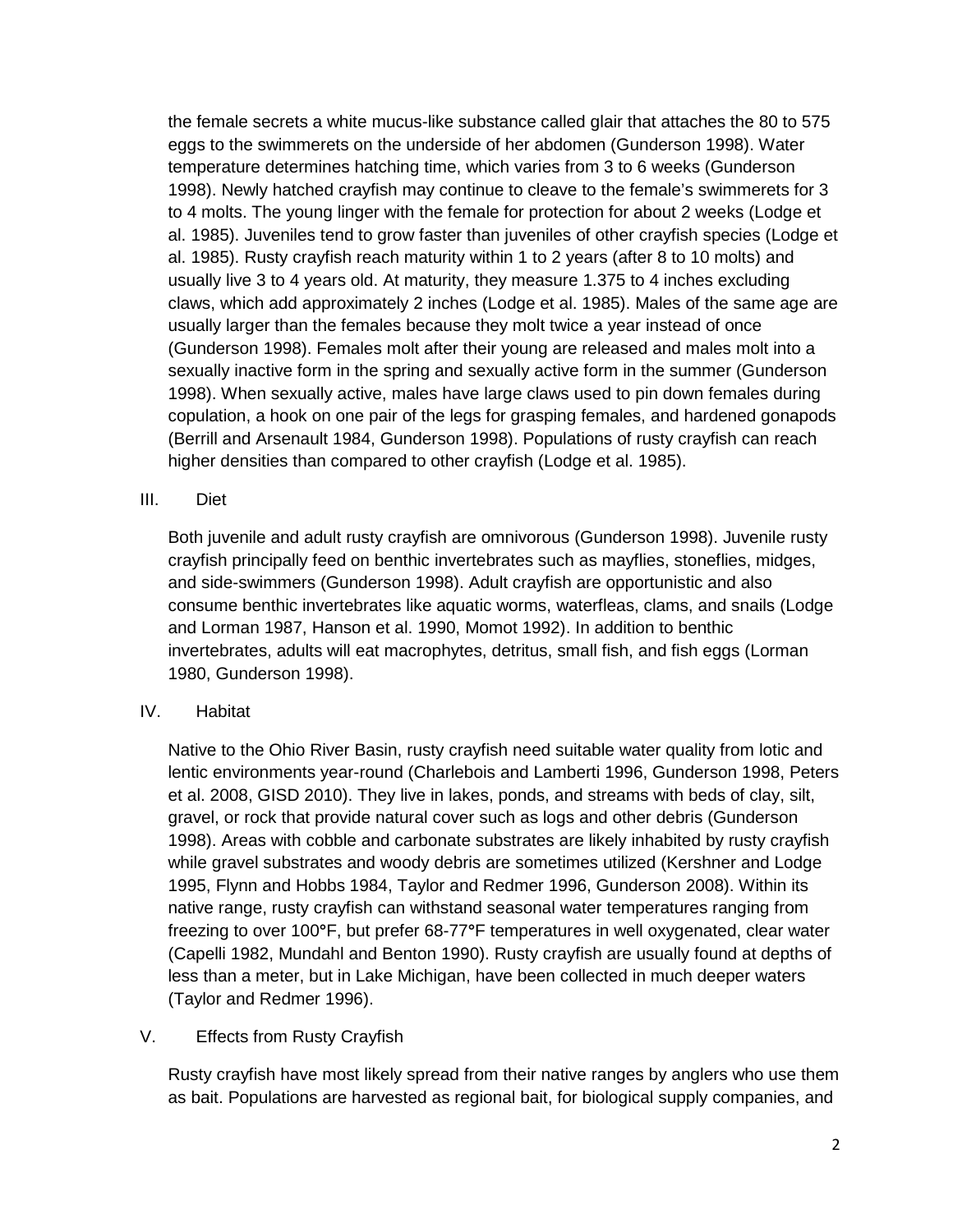the female secrets a white mucus-like substance called glair that attaches the 80 to 575 eggs to the swimmerets on the underside of her abdomen (Gunderson 1998). Water temperature determines hatching time, which varies from 3 to 6 weeks (Gunderson 1998). Newly hatched crayfish may continue to cleave to the female's swimmerets for 3 to 4 molts. The young linger with the female for protection for about 2 weeks (Lodge et al. 1985). Juveniles tend to grow faster than juveniles of other crayfish species (Lodge et al. 1985). Rusty crayfish reach maturity within 1 to 2 years (after 8 to 10 molts) and usually live 3 to 4 years old. At maturity, they measure 1.375 to 4 inches excluding claws, which add approximately 2 inches (Lodge et al. 1985). Males of the same age are usually larger than the females because they molt twice a year instead of once (Gunderson 1998). Females molt after their young are released and males molt into a sexually inactive form in the spring and sexually active form in the summer (Gunderson 1998). When sexually active, males have large claws used to pin down females during copulation, a hook on one pair of the legs for grasping females, and hardened gonapods (Berrill and Arsenault 1984, Gunderson 1998). Populations of rusty crayfish can reach higher densities than compared to other crayfish (Lodge et al. 1985).

### III. Diet

Both juvenile and adult rusty crayfish are omnivorous (Gunderson 1998). Juvenile rusty crayfish principally feed on benthic invertebrates such as mayflies, stoneflies, midges, and side-swimmers (Gunderson 1998). Adult crayfish are opportunistic and also consume benthic invertebrates like aquatic worms, waterfleas, clams, and snails (Lodge and Lorman 1987, Hanson et al. 1990, Momot 1992). In addition to benthic invertebrates, adults will eat macrophytes, detritus, small fish, and fish eggs (Lorman 1980, Gunderson 1998).

## IV. Habitat

Native to the Ohio River Basin, rusty crayfish need suitable water quality from lotic and lentic environments year-round (Charlebois and Lamberti 1996, Gunderson 1998, Peters et al. 2008, GISD 2010). They live in lakes, ponds, and streams with beds of clay, silt, gravel, or rock that provide natural cover such as logs and other debris (Gunderson 1998). Areas with cobble and carbonate substrates are likely inhabited by rusty crayfish while gravel substrates and woody debris are sometimes utilized (Kershner and Lodge 1995, Flynn and Hobbs 1984, Taylor and Redmer 1996, Gunderson 2008). Within its native range, rusty crayfish can withstand seasonal water temperatures ranging from freezing to over 100**°**F, but prefer 68-77**°**F temperatures in well oxygenated, clear water (Capelli 1982, Mundahl and Benton 1990). Rusty crayfish are usually found at depths of less than a meter, but in Lake Michigan, have been collected in much deeper waters (Taylor and Redmer 1996).

## V. Effects from Rusty Crayfish

Rusty crayfish have most likely spread from their native ranges by anglers who use them as bait. Populations are harvested as regional bait, for biological supply companies, and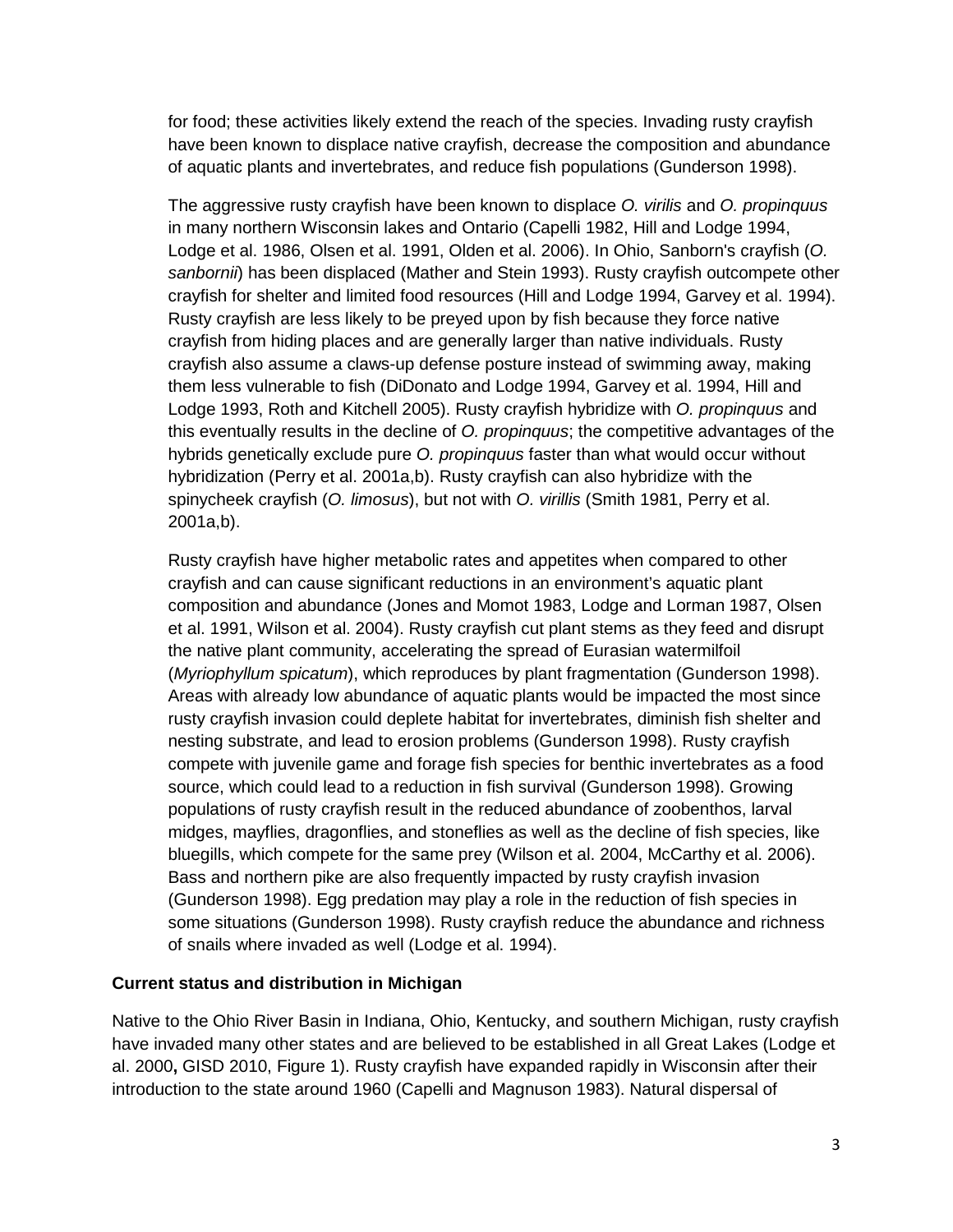for food; these activities likely extend the reach of the species. Invading rusty crayfish have been known to displace native crayfish, decrease the composition and abundance of aquatic plants and invertebrates, and reduce fish populations (Gunderson 1998).

The aggressive rusty crayfish have been known to displace *O. virilis* and *O. propinquus* in many northern Wisconsin lakes and Ontario (Capelli 1982, Hill and Lodge 1994, Lodge et al. 1986, Olsen et al. 1991, Olden et al. 2006). In Ohio, Sanborn's crayfish (*O. sanbornii*) has been displaced (Mather and Stein 1993). Rusty crayfish outcompete other crayfish for shelter and limited food resources (Hill and Lodge 1994, Garvey et al. 1994). Rusty crayfish are less likely to be preyed upon by fish because they force native crayfish from hiding places and are generally larger than native individuals. Rusty crayfish also assume a claws-up defense posture instead of swimming away, making them less vulnerable to fish (DiDonato and Lodge 1994, Garvey et al. 1994, Hill and Lodge 1993, Roth and Kitchell 2005). Rusty crayfish hybridize with *O. propinquus* and this eventually results in the decline of *O. propinquus*; the competitive advantages of the hybrids genetically exclude pure *O. propinquus* faster than what would occur without hybridization (Perry et al. 2001a,b). Rusty crayfish can also hybridize with the spinycheek crayfish (*O. limosus*), but not with *O. virillis* (Smith 1981, Perry et al. 2001a,b).

Rusty crayfish have higher metabolic rates and appetites when compared to other crayfish and can cause significant reductions in an environment's aquatic plant composition and abundance (Jones and Momot 1983, Lodge and Lorman 1987, Olsen et al. 1991, Wilson et al. 2004). Rusty crayfish cut plant stems as they feed and disrupt the native plant community, accelerating the spread of Eurasian watermilfoil (*Myriophyllum spicatum*), which reproduces by plant fragmentation (Gunderson 1998). Areas with already low abundance of aquatic plants would be impacted the most since rusty crayfish invasion could deplete habitat for invertebrates, diminish fish shelter and nesting substrate, and lead to erosion problems (Gunderson 1998). Rusty crayfish compete with juvenile game and forage fish species for benthic invertebrates as a food source, which could lead to a reduction in fish survival (Gunderson 1998). Growing populations of rusty crayfish result in the reduced abundance of zoobenthos, larval midges, mayflies, dragonflies, and stoneflies as well as the decline of fish species, like bluegills, which compete for the same prey (Wilson et al. 2004, McCarthy et al. 2006). Bass and northern pike are also frequently impacted by rusty crayfish invasion (Gunderson 1998). Egg predation may play a role in the reduction of fish species in some situations (Gunderson 1998). Rusty crayfish reduce the abundance and richness of snails where invaded as well (Lodge et al. 1994).

### **Current status and distribution in Michigan**

Native to the Ohio River Basin in Indiana, Ohio, Kentucky, and southern Michigan, rusty crayfish have invaded many other states and are believed to be established in all Great Lakes (Lodge et al. 2000**,** GISD 2010, Figure 1). Rusty crayfish have expanded rapidly in Wisconsin after their introduction to the state around 1960 (Capelli and Magnuson 1983). Natural dispersal of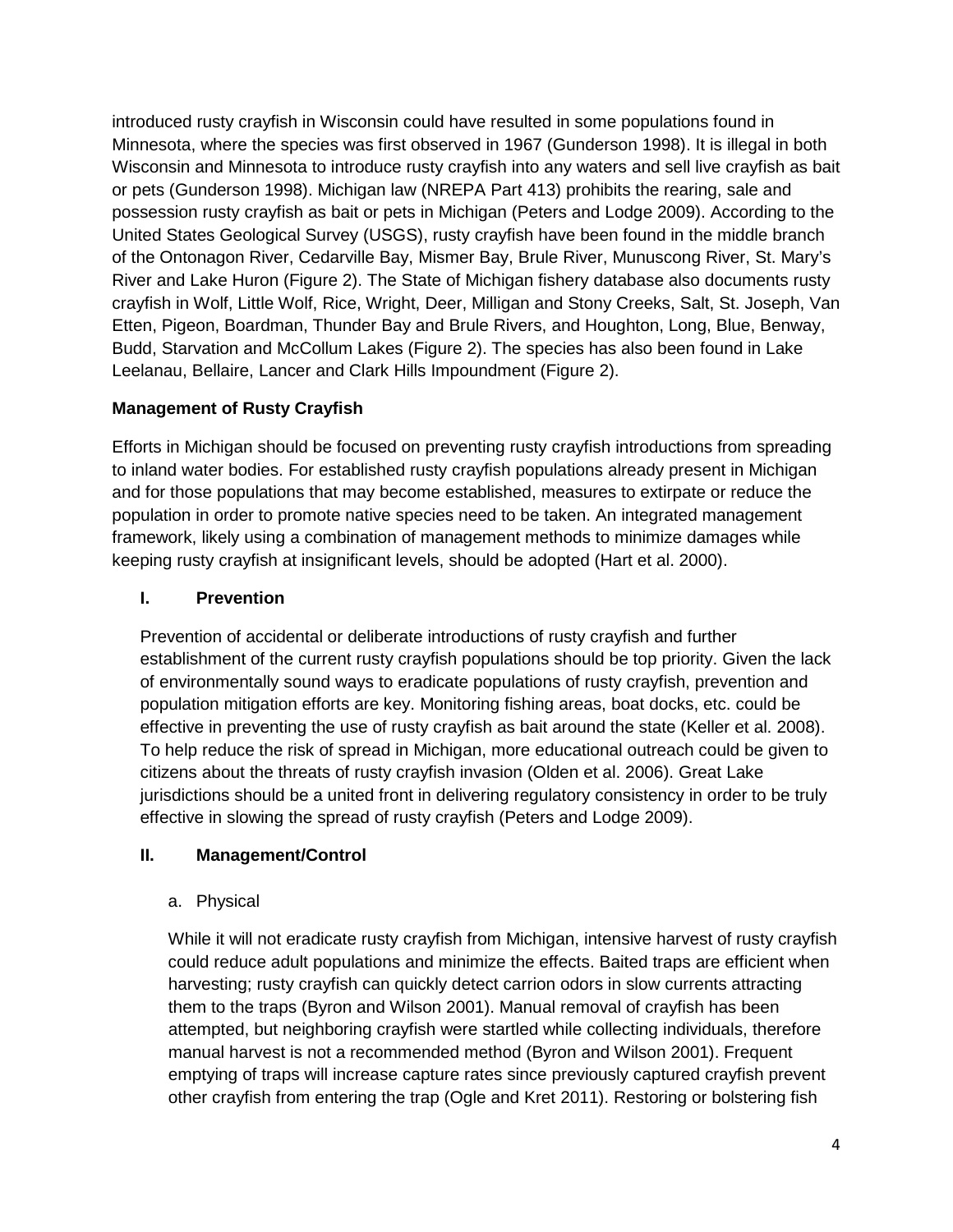introduced rusty crayfish in Wisconsin could have resulted in some populations found in Minnesota, where the species was first observed in 1967 (Gunderson 1998). It is illegal in both Wisconsin and Minnesota to introduce rusty crayfish into any waters and sell live crayfish as bait or pets (Gunderson 1998). Michigan law (NREPA Part 413) prohibits the rearing, sale and possession rusty crayfish as bait or pets in Michigan (Peters and Lodge 2009). According to the United States Geological Survey (USGS), rusty crayfish have been found in the middle branch of the Ontonagon River, Cedarville Bay, Mismer Bay, Brule River, Munuscong River, St. Mary's River and Lake Huron (Figure 2). The State of Michigan fishery database also documents rusty crayfish in Wolf, Little Wolf, Rice, Wright, Deer, Milligan and Stony Creeks, Salt, St. Joseph, Van Etten, Pigeon, Boardman, Thunder Bay and Brule Rivers, and Houghton, Long, Blue, Benway, Budd, Starvation and McCollum Lakes (Figure 2). The species has also been found in Lake Leelanau, Bellaire, Lancer and Clark Hills Impoundment (Figure 2).

# **Management of Rusty Crayfish**

Efforts in Michigan should be focused on preventing rusty crayfish introductions from spreading to inland water bodies. For established rusty crayfish populations already present in Michigan and for those populations that may become established, measures to extirpate or reduce the population in order to promote native species need to be taken. An integrated management framework, likely using a combination of management methods to minimize damages while keeping rusty crayfish at insignificant levels, should be adopted (Hart et al. 2000).

# **I. Prevention**

Prevention of accidental or deliberate introductions of rusty crayfish and further establishment of the current rusty crayfish populations should be top priority. Given the lack of environmentally sound ways to eradicate populations of rusty crayfish, prevention and population mitigation efforts are key. Monitoring fishing areas, boat docks, etc. could be effective in preventing the use of rusty crayfish as bait around the state (Keller et al. 2008). To help reduce the risk of spread in Michigan, more educational outreach could be given to citizens about the threats of rusty crayfish invasion (Olden et al. 2006). Great Lake jurisdictions should be a united front in delivering regulatory consistency in order to be truly effective in slowing the spread of rusty crayfish (Peters and Lodge 2009).

## **II. Management/Control**

## a. Physical

While it will not eradicate rusty crayfish from Michigan, intensive harvest of rusty crayfish could reduce adult populations and minimize the effects. Baited traps are efficient when harvesting; rusty crayfish can quickly detect carrion odors in slow currents attracting them to the traps (Byron and Wilson 2001). Manual removal of crayfish has been attempted, but neighboring crayfish were startled while collecting individuals, therefore manual harvest is not a recommended method (Byron and Wilson 2001). Frequent emptying of traps will increase capture rates since previously captured crayfish prevent other crayfish from entering the trap (Ogle and Kret 2011). Restoring or bolstering fish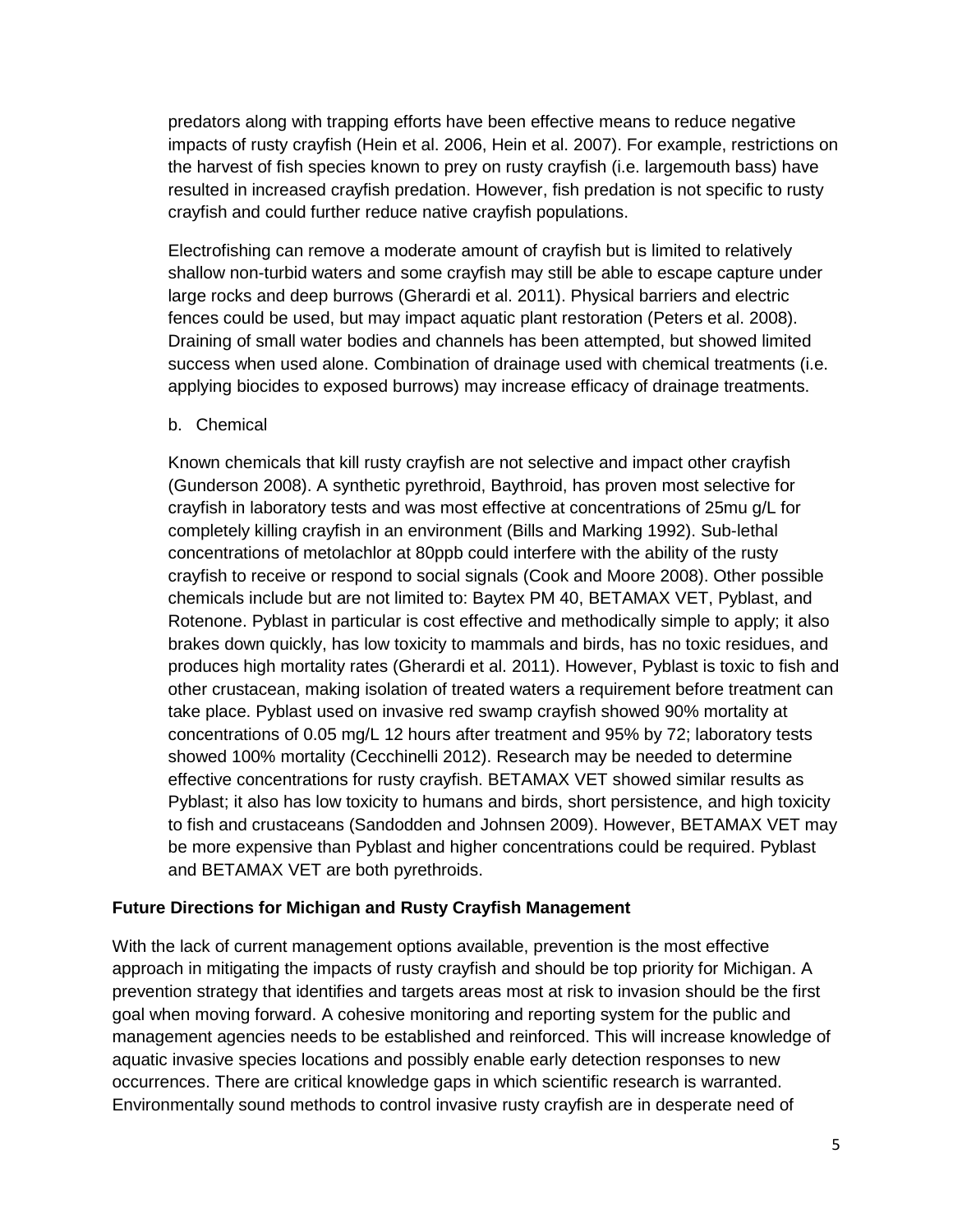predators along with trapping efforts have been effective means to reduce negative impacts of rusty crayfish (Hein et al. 2006, Hein et al. 2007). For example, restrictions on the harvest of fish species known to prey on rusty crayfish (i.e. largemouth bass) have resulted in increased crayfish predation. However, fish predation is not specific to rusty crayfish and could further reduce native crayfish populations.

Electrofishing can remove a moderate amount of crayfish but is limited to relatively shallow non-turbid waters and some crayfish may still be able to escape capture under large rocks and deep burrows (Gherardi et al. 2011). Physical barriers and electric fences could be used, but may impact aquatic plant restoration (Peters et al. 2008). Draining of small water bodies and channels has been attempted, but showed limited success when used alone. Combination of drainage used with chemical treatments (i.e. applying biocides to exposed burrows) may increase efficacy of drainage treatments.

### b. Chemical

Known chemicals that kill rusty crayfish are not selective and impact other crayfish (Gunderson 2008). A synthetic pyrethroid, Baythroid, has proven most selective for crayfish in laboratory tests and was most effective at concentrations of 25mu g/L for completely killing crayfish in an environment (Bills and Marking 1992). Sub-lethal concentrations of metolachlor at 80ppb could interfere with the ability of the rusty crayfish to receive or respond to social signals (Cook and Moore 2008). Other possible chemicals include but are not limited to: Baytex PM 40, BETAMAX VET, Pyblast, and Rotenone. Pyblast in particular is cost effective and methodically simple to apply; it also brakes down quickly, has low toxicity to mammals and birds, has no toxic residues, and produces high mortality rates (Gherardi et al. 2011). However, Pyblast is toxic to fish and other crustacean, making isolation of treated waters a requirement before treatment can take place. Pyblast used on invasive red swamp crayfish showed 90% mortality at concentrations of 0.05 mg/L 12 hours after treatment and 95% by 72; laboratory tests showed 100% mortality (Cecchinelli 2012). Research may be needed to determine effective concentrations for rusty crayfish. BETAMAX VET showed similar results as Pyblast; it also has low toxicity to humans and birds, short persistence, and high toxicity to fish and crustaceans (Sandodden and Johnsen 2009). However, BETAMAX VET may be more expensive than Pyblast and higher concentrations could be required. Pyblast and BETAMAX VET are both pyrethroids.

### **Future Directions for Michigan and Rusty Crayfish Management**

With the lack of current management options available, prevention is the most effective approach in mitigating the impacts of rusty crayfish and should be top priority for Michigan. A prevention strategy that identifies and targets areas most at risk to invasion should be the first goal when moving forward. A cohesive monitoring and reporting system for the public and management agencies needs to be established and reinforced. This will increase knowledge of aquatic invasive species locations and possibly enable early detection responses to new occurrences. There are critical knowledge gaps in which scientific research is warranted. Environmentally sound methods to control invasive rusty crayfish are in desperate need of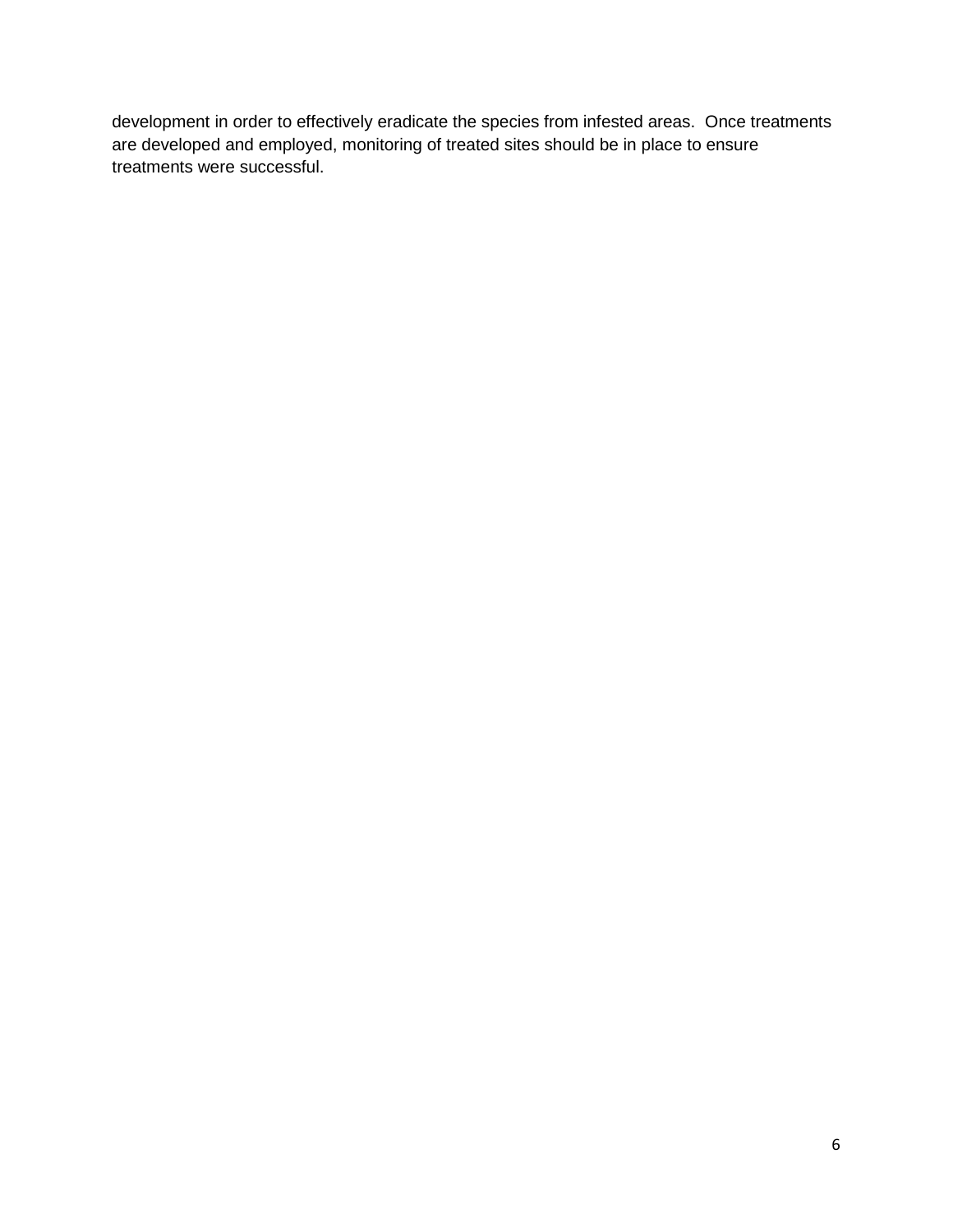development in order to effectively eradicate the species from infested areas. Once treatments are developed and employed, monitoring of treated sites should be in place to ensure treatments were successful.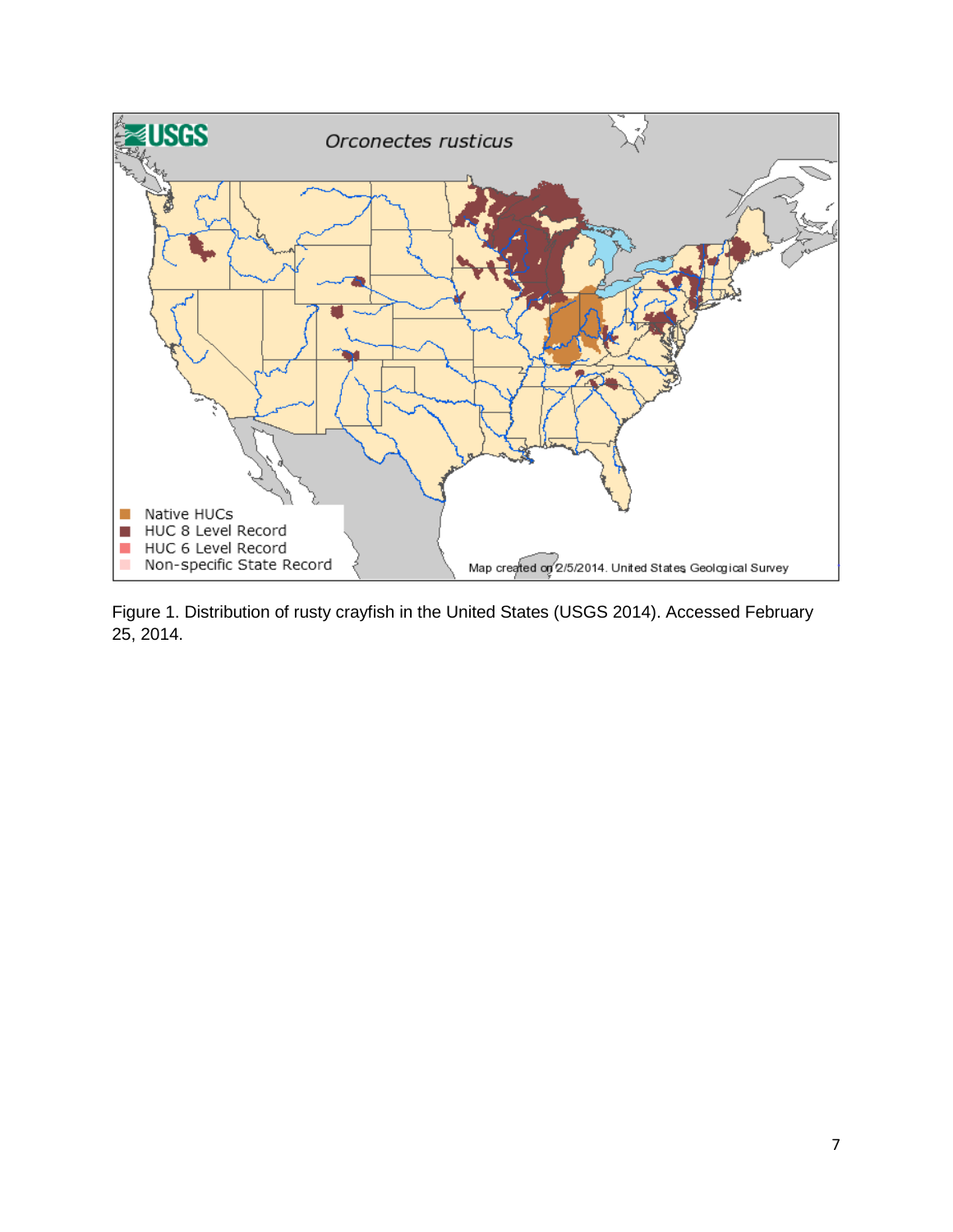

Figure 1. Distribution of rusty crayfish in the United States (USGS 2014). Accessed February 25, 2014.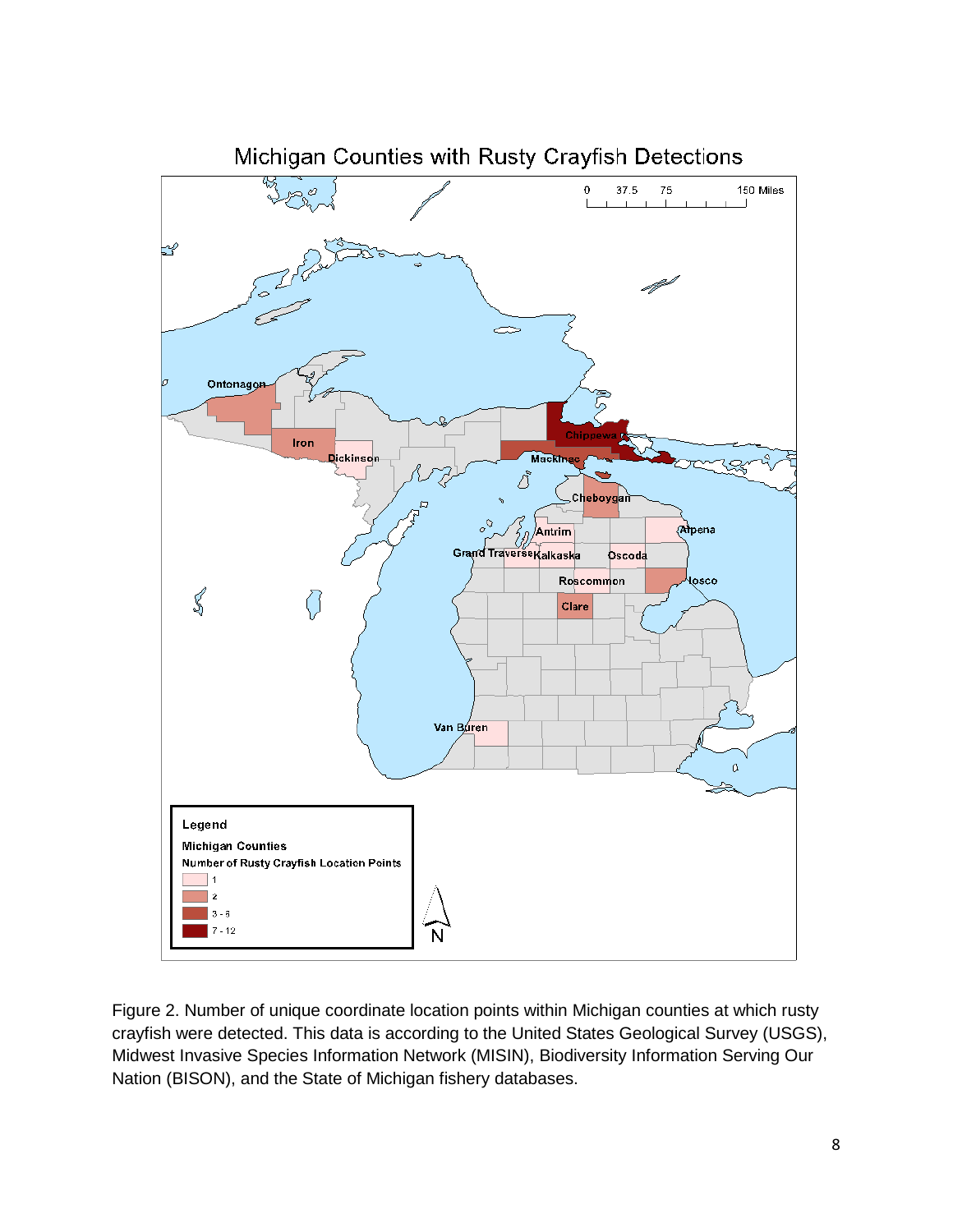

Figure 2. Number of unique coordinate location points within Michigan counties at which rusty crayfish were detected. This data is according to the United States Geological Survey (USGS), Midwest Invasive Species Information Network (MISIN), Biodiversity Information Serving Our Nation (BISON), and the State of Michigan fishery databases.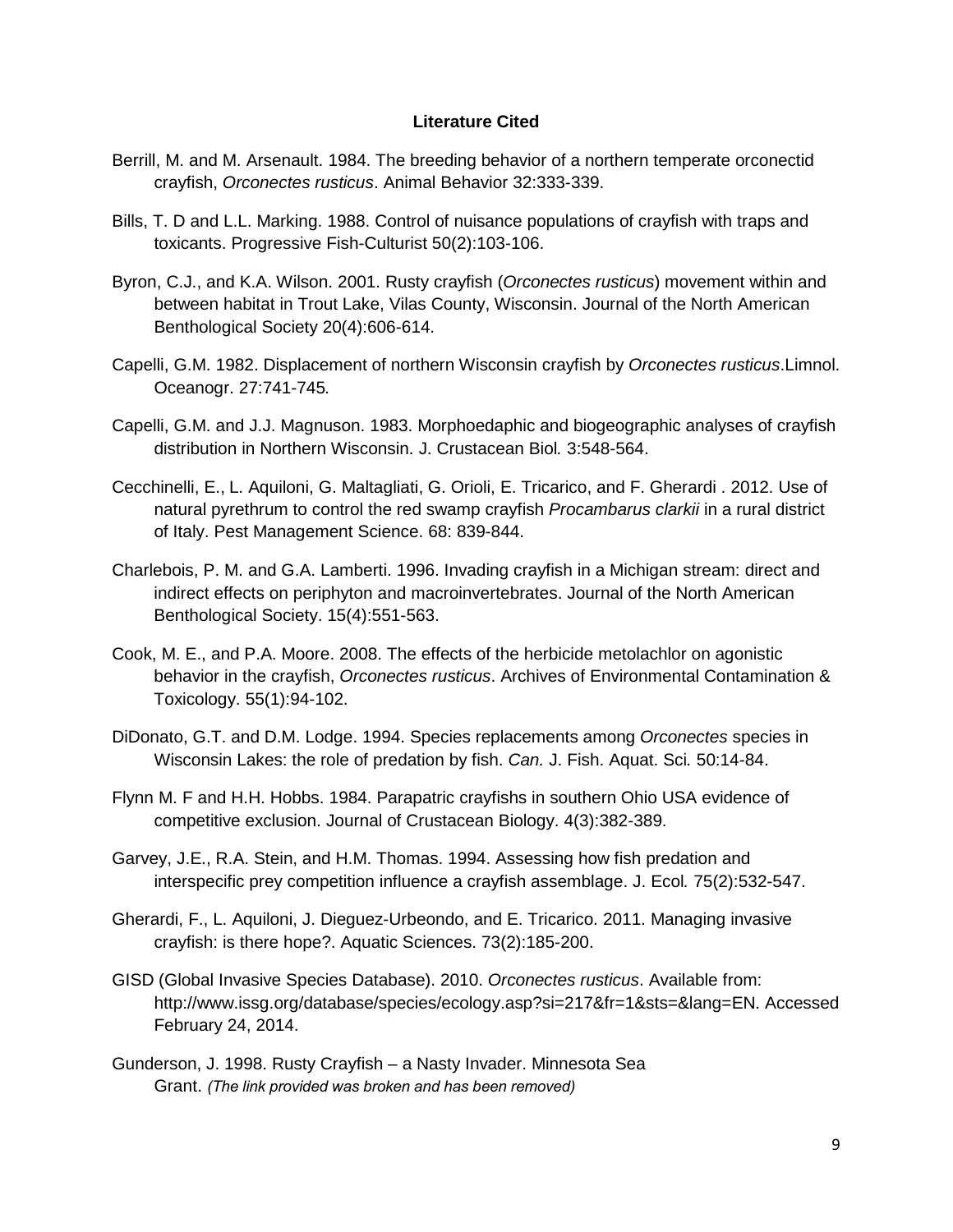#### **Literature Cited**

- Berrill, M. and M. Arsenault. 1984. The breeding behavior of a northern temperate orconectid crayfish, *Orconectes rusticus*. Animal Behavior 32:333-339.
- Bills, T. D and L.L. Marking. 1988. Control of nuisance populations of crayfish with traps and toxicants. Progressive Fish-Culturist 50(2):103-106.
- Byron, C.J., and K.A. Wilson. 2001. Rusty crayfish (*Orconectes rusticus*) movement within and between habitat in Trout Lake, Vilas County, Wisconsin. Journal of the North American Benthological Society 20(4):606-614.
- Capelli, G.M. 1982. Displacement of northern Wisconsin crayfish by *Orconectes rusticus*.Limnol. Oceanogr. 27:741-745*.*
- Capelli, G.M. and J.J. Magnuson. 1983. Morphoedaphic and biogeographic analyses of crayfish distribution in Northern Wisconsin. J. Crustacean Biol*.* 3:548-564.
- Cecchinelli, E., L. Aquiloni, G. Maltagliati, G. Orioli, E. Tricarico, and F. Gherardi . 2012. Use of natural pyrethrum to control the red swamp crayfish *Procambarus clarkii* in a rural district of Italy. Pest Management Science. 68: 839-844.
- Charlebois, P. M. and G.A. Lamberti. 1996. Invading crayfish in a Michigan stream: direct and indirect effects on periphyton and macroinvertebrates. Journal of the North American Benthological Society. 15(4):551-563.
- Cook, M. E., and P.A. Moore. 2008. The effects of the herbicide metolachlor on agonistic behavior in the crayfish, *Orconectes rusticus*. Archives of Environmental Contamination & Toxicology. 55(1):94-102.
- DiDonato, G.T. and D.M. Lodge. 1994. Species replacements among *Orconectes* species in Wisconsin Lakes: the role of predation by fish. *Can.* J. Fish. Aquat. Sci*.* 50:14-84.
- Flynn M. F and H.H. Hobbs. 1984. Parapatric crayfishs in southern Ohio USA evidence of competitive exclusion. Journal of Crustacean Biology. 4(3):382-389.
- Garvey, J.E., R.A. Stein, and H.M. Thomas. 1994. Assessing how fish predation and interspecific prey competition influence a crayfish assemblage. J. Ecol*.* 75(2):532-547.
- Gherardi, F., L. Aquiloni, J. Dieguez-Urbeondo, and E. Tricarico. 2011. Managing invasive crayfish: is there hope?. Aquatic Sciences. 73(2):185-200.
- GISD (Global Invasive Species Database). 2010. *Orconectes rusticus*. Available from: http://www.issg.org/database/species/ecology.asp?si=217&fr=1&sts=&lang=EN. Accessed February 24, 2014.
- Gunderson, J. 1998. Rusty Crayfish a Nasty Invader. Minnesota Sea Grant. *(The link provided was broken and has been removed)*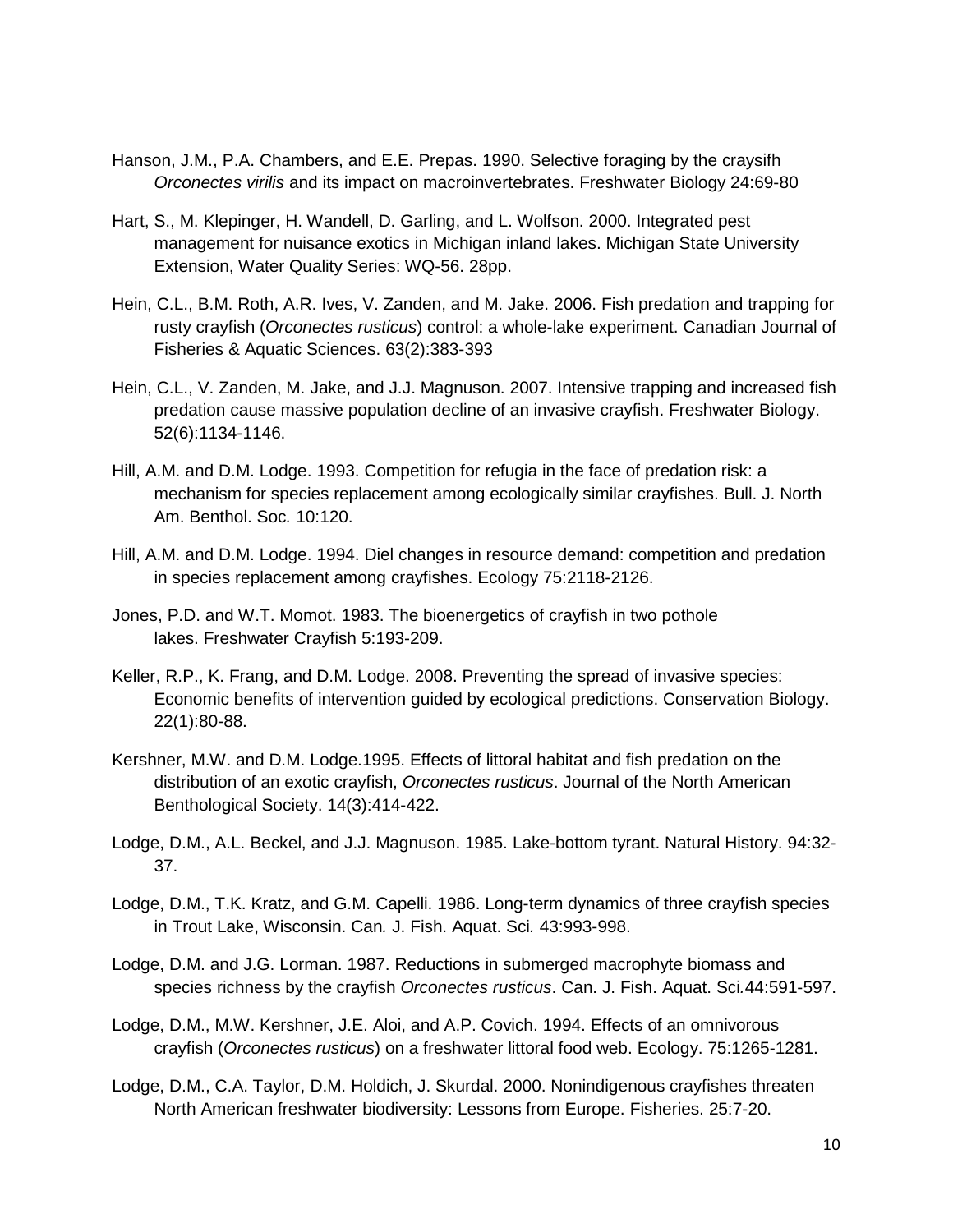- Hanson, J.M., P.A. Chambers, and E.E. Prepas. 1990. Selective foraging by the craysifh *Orconectes virilis* and its impact on macroinvertebrates. Freshwater Biology 24:69-80
- Hart, S., M. Klepinger, H. Wandell, D. Garling, and L. Wolfson. 2000. Integrated pest management for nuisance exotics in Michigan inland lakes. Michigan State University Extension, Water Quality Series: WQ-56. 28pp.
- Hein, C.L., B.M. Roth, A.R. Ives, V. Zanden, and M. Jake. 2006. Fish predation and trapping for rusty crayfish (*Orconectes rusticus*) control: a whole-lake experiment. Canadian Journal of Fisheries & Aquatic Sciences. 63(2):383-393
- Hein, C.L., V. Zanden, M. Jake, and J.J. Magnuson. 2007. Intensive trapping and increased fish predation cause massive population decline of an invasive crayfish. Freshwater Biology. 52(6):1134-1146.
- Hill, A.M. and D.M. Lodge. 1993. Competition for refugia in the face of predation risk: a mechanism for species replacement among ecologically similar crayfishes. Bull. J. North Am. Benthol. Soc*.* 10:120.
- Hill, A.M. and D.M. Lodge. 1994. Diel changes in resource demand: competition and predation in species replacement among crayfishes. Ecology 75:2118-2126.
- Jones, P.D. and W.T. Momot. 1983. The bioenergetics of crayfish in two pothole lakes. Freshwater Crayfish 5:193-209.
- Keller, R.P., K. Frang, and D.M. Lodge. 2008. Preventing the spread of invasive species: Economic benefits of intervention guided by ecological predictions. Conservation Biology. 22(1):80-88.
- Kershner, M.W. and D.M. Lodge.1995. Effects of littoral habitat and fish predation on the distribution of an exotic crayfish, *Orconectes rusticus*. Journal of the North American Benthological Society. 14(3):414-422.
- Lodge, D.M., A.L. Beckel, and J.J. Magnuson. 1985. Lake-bottom tyrant. Natural History. 94:32- 37.
- Lodge, D.M., T.K. Kratz, and G.M. Capelli. 1986. Long-term dynamics of three crayfish species in Trout Lake, Wisconsin. Can*.* J. Fish. Aquat. Sci*.* 43:993-998.
- Lodge, D.M. and J.G. Lorman. 1987. Reductions in submerged macrophyte biomass and species richness by the crayfish *Orconectes rusticus*. Can. J. Fish. Aquat. Sci*.*44:591-597.
- Lodge, D.M., M.W. Kershner, J.E. Aloi, and A.P. Covich. 1994. Effects of an omnivorous crayfish (*Orconectes rusticus*) on a freshwater littoral food web. Ecology. 75:1265-1281.
- Lodge, D.M., C.A. Taylor, D.M. Holdich, J. Skurdal. 2000. Nonindigenous crayfishes threaten North American freshwater biodiversity: Lessons from Europe. Fisheries. 25:7-20.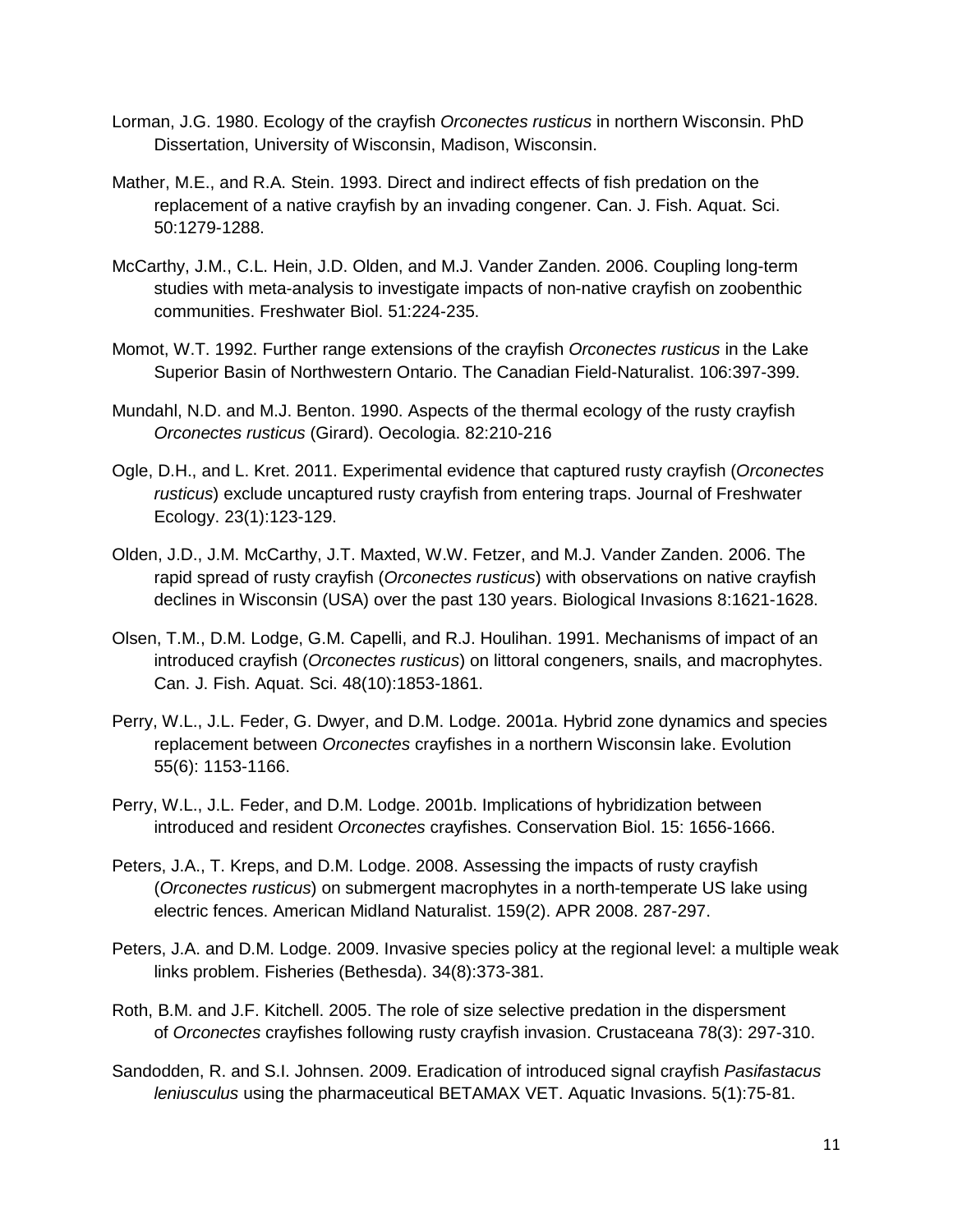- Lorman, J.G. 1980. Ecology of the crayfish *Orconectes rusticus* in northern Wisconsin. PhD Dissertation, University of Wisconsin, Madison, Wisconsin.
- Mather, M.E., and R.A. Stein. 1993. Direct and indirect effects of fish predation on the replacement of a native crayfish by an invading congener. Can. J. Fish. Aquat. Sci. 50:1279-1288.
- McCarthy, J.M., C.L. Hein, J.D. Olden, and M.J. Vander Zanden. 2006. Coupling long-term studies with meta-analysis to investigate impacts of non-native crayfish on zoobenthic communities. Freshwater Biol. 51:224-235.
- Momot, W.T. 1992. Further range extensions of the crayfish *Orconectes rusticus* in the Lake Superior Basin of Northwestern Ontario. The Canadian Field-Naturalist. 106:397-399.
- Mundahl, N.D. and M.J. Benton. 1990. Aspects of the thermal ecology of the rusty crayfish *Orconectes rusticus* (Girard). Oecologia. 82:210-216
- Ogle, D.H., and L. Kret. 2011. Experimental evidence that captured rusty crayfish (*Orconectes rusticus*) exclude uncaptured rusty crayfish from entering traps. Journal of Freshwater Ecology. 23(1):123-129.
- Olden, J.D., J.M. McCarthy, J.T. Maxted, W.W. Fetzer, and M.J. Vander Zanden. 2006. The rapid spread of rusty crayfish (*Orconectes rusticus*) with observations on native crayfish declines in Wisconsin (USA) over the past 130 years. Biological Invasions 8:1621-1628.
- Olsen, T.M., D.M. Lodge, G.M. Capelli, and R.J. Houlihan. 1991. Mechanisms of impact of an introduced crayfish (*Orconectes rusticus*) on littoral congeners, snails, and macrophytes. Can. J. Fish. Aquat. Sci. 48(10):1853-1861.
- Perry, W.L., J.L. Feder, G. Dwyer, and D.M. Lodge. 2001a. Hybrid zone dynamics and species replacement between *Orconectes* crayfishes in a northern Wisconsin lake. Evolution 55(6): 1153-1166.
- Perry, W.L., J.L. Feder, and D.M. Lodge. 2001b. Implications of hybridization between introduced and resident *Orconectes* crayfishes. Conservation Biol. 15: 1656-1666.
- Peters, J.A., T. Kreps, and D.M. Lodge. 2008. Assessing the impacts of rusty crayfish (*Orconectes rusticus*) on submergent macrophytes in a north-temperate US lake using electric fences. American Midland Naturalist. 159(2). APR 2008. 287-297.
- Peters, J.A. and D.M. Lodge. 2009. Invasive species policy at the regional level: a multiple weak links problem. Fisheries (Bethesda). 34(8):373-381.
- Roth, B.M. and J.F. Kitchell. 2005. The role of size selective predation in the dispersment of *Orconectes* crayfishes following rusty crayfish invasion. Crustaceana 78(3): 297-310.
- Sandodden, R. and S.I. Johnsen. 2009. Eradication of introduced signal crayfish *Pasifastacus leniusculus* using the pharmaceutical BETAMAX VET. Aquatic Invasions. 5(1):75-81.